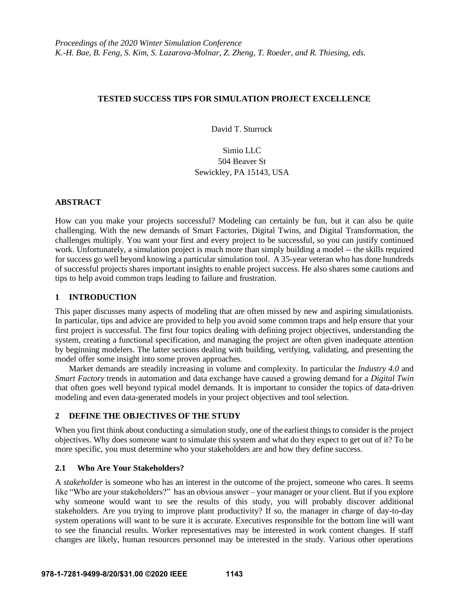# **TESTED SUCCESS TIPS FOR SIMULATION PROJECT EXCELLENCE**

David T. Sturrock

Simio LLC 504 Beaver St Sewickley, PA 15143, USA

## **ABSTRACT**

How can you make your projects successful? Modeling can certainly be fun, but it can also be quite challenging. With the new demands of Smart Factories, Digital Twins, and Digital Transformation, the challenges multiply. You want your first and every project to be successful, so you can justify continued work. Unfortunately, a simulation project is much more than simply building a model -- the skills required for success go well beyond knowing a particular simulation tool. A 35-year veteran who has done hundreds of successful projects shares important insights to enable project success. He also shares some cautions and tips to help avoid common traps leading to failure and frustration.

# **1 INTRODUCTION**

This paper discusses many aspects of modeling that are often missed by new and aspiring simulationists. In particular, tips and advice are provided to help you avoid some common traps and help ensure that your first project is successful. The first four topics dealing with defining project objectives, understanding the system, creating a functional specification, and managing the project are often given inadequate attention by beginning modelers. The latter sections dealing with building, verifying, validating, and presenting the model offer some insight into some proven approaches.

Market demands are steadily increasing in volume and complexity. In particular the *Industry 4.0* and *Smart Factory* trends in automation and data exchange have caused a growing demand for a *Digital Twin* that often goes well beyond typical model demands. It is important to consider the topics of data-driven modeling and even data-generated models in your project objectives and tool selection.

# **2 DEFINE THE OBJECTIVES OF THE STUDY**

When you first think about conducting a simulation study, one of the earliest things to consider is the project objectives. Why does someone want to simulate this system and what do they expect to get out of it? To be more specific, you must determine who your stakeholders are and how they define success.

# **2.1 Who Are Your Stakeholders?**

A *stakeholder* is someone who has an interest in the outcome of the project, someone who cares. It seems like "Who are your stakeholders?" has an obvious answer – your manager or your client. But if you explore why someone would want to see the results of this study, you will probably discover additional stakeholders. Are you trying to improve plant productivity? If so, the manager in charge of day-to-day system operations will want to be sure it is accurate. Executives responsible for the bottom line will want to see the financial results. Worker representatives may be interested in work content changes. If staff changes are likely, human resources personnel may be interested in the study. Various other operations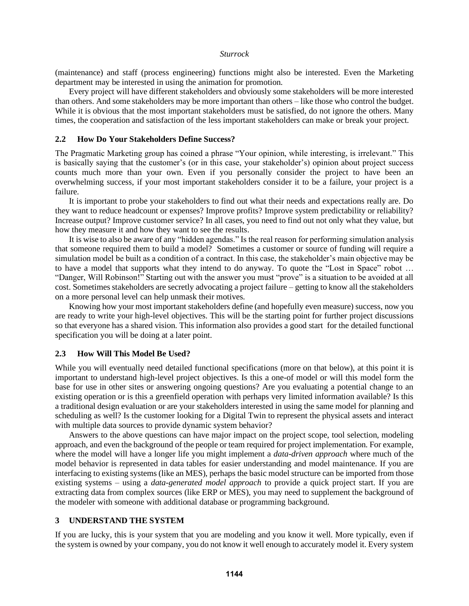(maintenance) and staff (process engineering) functions might also be interested. Even the Marketing department may be interested in using the animation for promotion.

Every project will have different stakeholders and obviously some stakeholders will be more interested than others. And some stakeholders may be more important than others – like those who control the budget. While it is obvious that the most important stakeholders must be satisfied, do not ignore the others. Many times, the cooperation and satisfaction of the less important stakeholders can make or break your project.

#### **2.2 How Do Your Stakeholders Define Success?**

The Pragmatic Marketing group has coined a phrase "Your opinion, while interesting, is irrelevant." This is basically saying that the customer's (or in this case, your stakeholder's) opinion about project success counts much more than your own. Even if you personally consider the project to have been an overwhelming success, if your most important stakeholders consider it to be a failure, your project is a failure.

It is important to probe your stakeholders to find out what their needs and expectations really are. Do they want to reduce headcount or expenses? Improve profits? Improve system predictability or reliability? Increase output? Improve customer service? In all cases, you need to find out not only what they value, but how they measure it and how they want to see the results.

It is wise to also be aware of any "hidden agendas." Is the real reason for performing simulation analysis that someone required them to build a model? Sometimes a customer or source of funding will require a simulation model be built as a condition of a contract. In this case, the stakeholder's main objective may be to have a model that supports what they intend to do anyway. To quote the "Lost in Space" robot … "Danger, Will Robinson!" Starting out with the answer you must "prove" is a situation to be avoided at all cost. Sometimes stakeholders are secretly advocating a project failure – getting to know all the stakeholders on a more personal level can help unmask their motives.

Knowing how your most important stakeholders define (and hopefully even measure) success, now you are ready to write your high-level objectives. This will be the starting point for further project discussions so that everyone has a shared vision. This information also provides a good start for the detailed functional specification you will be doing at a later point.

### **2.3 How Will This Model Be Used?**

While you will eventually need detailed functional specifications (more on that below), at this point it is important to understand high-level project objectives. Is this a one-of model or will this model form the base for use in other sites or answering ongoing questions? Are you evaluating a potential change to an existing operation or is this a greenfield operation with perhaps very limited information available? Is this a traditional design evaluation or are your stakeholders interested in using the same model for planning and scheduling as well? Is the customer looking for a Digital Twin to represent the physical assets and interact with multiple data sources to provide dynamic system behavior?

Answers to the above questions can have major impact on the project scope, tool selection, modeling approach, and even the background of the people or team required for project implementation. For example, where the model will have a longer life you might implement a *data-driven approach* where much of the model behavior is represented in data tables for easier understanding and model maintenance. If you are interfacing to existing systems (like an MES), perhaps the basic model structure can be imported from those existing systems – using a *data-generated model approach* to provide a quick project start. If you are extracting data from complex sources (like ERP or MES), you may need to supplement the background of the modeler with someone with additional database or programming background.

#### **3 UNDERSTAND THE SYSTEM**

If you are lucky, this is your system that you are modeling and you know it well. More typically, even if the system is owned by your company, you do not know it well enough to accurately model it. Every system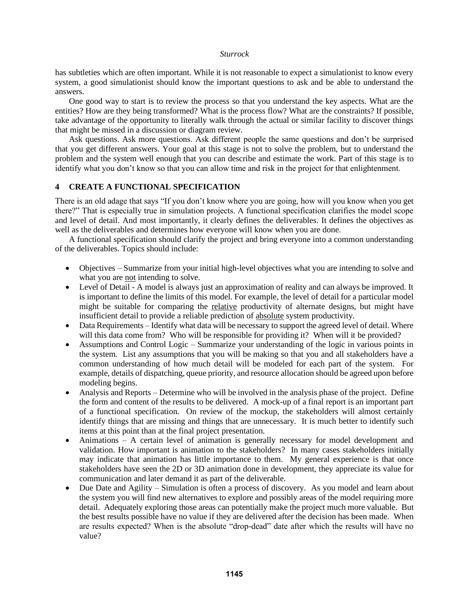has subtleties which are often important. While it is not reasonable to expect a simulationist to know every system, a good simulationist should know the important questions to ask and be able to understand the answers.

One good way to start is to review the process so that you understand the key aspects. What are the entities? How are they being transformed? What is the process flow? What are the constraints? If possible, take advantage of the opportunity to literally walk through the actual or similar facility to discover things that might be missed in a discussion or diagram review.

Ask questions. Ask more questions. Ask different people the same questions and don't be surprised that you get different answers. Your goal at this stage is not to solve the problem, but to understand the problem and the system well enough that you can describe and estimate the work. Part of this stage is to identify what you don't know so that you can allow time and risk in the project for that enlightenment.

# **4 CREATE A FUNCTIONAL SPECIFICATION**

There is an old adage that says "If you don't know where you are going, how will you know when you get there?" That is especially true in simulation projects. A functional specification clarifies the model scope and level of detail. And most importantly, it clearly defines the deliverables. It defines the objectives as well as the deliverables and determines how everyone will know when you are done.

A functional specification should clarify the project and bring everyone into a common understanding of the deliverables. Topics should include:

- Objectives Summarize from your initial high-level objectives what you are intending to solve and what you are not intending to solve.
- Level of Detail A model is always just an approximation of reality and can always be improved. It is important to define the limits of this model. For example, the level of detail for a particular model might be suitable for comparing the relative productivity of alternate designs, but might have insufficient detail to provide a reliable prediction of absolute system productivity.
- Data Requirements Identify what data will be necessary to support the agreed level of detail. Where will this data come from? Who will be responsible for providing it? When will it be provided?
- Assumptions and Control Logic Summarize your understanding of the logic in various points in the system. List any assumptions that you will be making so that you and all stakeholders have a common understanding of how much detail will be modeled for each part of the system. For example, details of dispatching, queue priority, and resource allocation should be agreed upon before modeling begins.
- Analysis and Reports Determine who will be involved in the analysis phase of the project. Define the form and content of the results to be delivered. A mock-up of a final report is an important part of a functional specification. On review of the mockup, the stakeholders will almost certainly identify things that are missing and things that are unnecessary. It is much better to identify such items at this point than at the final project presentation.
- Animations A certain level of animation is generally necessary for model development and validation. How important is animation to the stakeholders? In many cases stakeholders initially may indicate that animation has little importance to them. My general experience is that once stakeholders have seen the 2D or 3D animation done in development, they appreciate its value for communication and later demand it as part of the deliverable.
- Due Date and Agility Simulation is often a process of discovery. As you model and learn about the system you will find new alternatives to explore and possibly areas of the model requiring more detail. Adequately exploring those areas can potentially make the project much more valuable. But the best results possible have no value if they are delivered after the decision has been made. When are results expected? When is the absolute "drop-dead" date after which the results will have no value?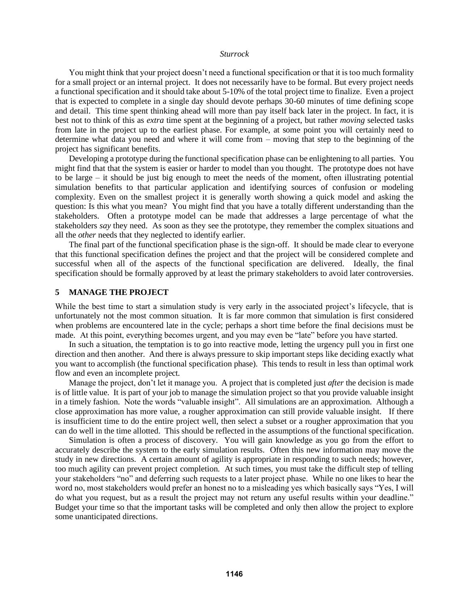You might think that your project doesn't need a functional specification or that it is too much formality for a small project or an internal project. It does not necessarily have to be formal. But every project needs a functional specification and it should take about 5-10% of the total project time to finalize. Even a project that is expected to complete in a single day should devote perhaps 30-60 minutes of time defining scope and detail. This time spent thinking ahead will more than pay itself back later in the project. In fact, it is best not to think of this as *extra* time spent at the beginning of a project, but rather *moving* selected tasks from late in the project up to the earliest phase. For example, at some point you will certainly need to determine what data you need and where it will come from – moving that step to the beginning of the project has significant benefits.

Developing a prototype during the functional specification phase can be enlightening to all parties. You might find that that the system is easier or harder to model than you thought. The prototype does not have to be large – it should be just big enough to meet the needs of the moment, often illustrating potential simulation benefits to that particular application and identifying sources of confusion or modeling complexity. Even on the smallest project it is generally worth showing a quick model and asking the question: Is this what you mean? You might find that you have a totally different understanding than the stakeholders. Often a prototype model can be made that addresses a large percentage of what the stakeholders *say* they need. As soon as they see the prototype, they remember the complex situations and all the *other* needs that they neglected to identify earlier.

The final part of the functional specification phase is the sign-off. It should be made clear to everyone that this functional specification defines the project and that the project will be considered complete and successful when all of the aspects of the functional specification are delivered. Ideally, the final specification should be formally approved by at least the primary stakeholders to avoid later controversies.

### **5 MANAGE THE PROJECT**

While the best time to start a simulation study is very early in the associated project's lifecycle, that is unfortunately not the most common situation. It is far more common that simulation is first considered when problems are encountered late in the cycle; perhaps a short time before the final decisions must be made. At this point, everything becomes urgent, and you may even be "late" before you have started.

In such a situation, the temptation is to go into reactive mode, letting the urgency pull you in first one direction and then another. And there is always pressure to skip important steps like deciding exactly what you want to accomplish (the functional specification phase). This tends to result in less than optimal work flow and even an incomplete project.

Manage the project, don't let it manage you. A project that is completed just *after* the decision is made is of little value. It is part of your job to manage the simulation project so that you provide valuable insight in a timely fashion. Note the words "valuable insight". All simulations are an approximation. Although a close approximation has more value, a rougher approximation can still provide valuable insight. If there is insufficient time to do the entire project well, then select a subset or a rougher approximation that you can do well in the time allotted. This should be reflected in the assumptions of the functional specification.

Simulation is often a process of discovery. You will gain knowledge as you go from the effort to accurately describe the system to the early simulation results. Often this new information may move the study in new directions. A certain amount of agility is appropriate in responding to such needs; however, too much agility can prevent project completion. At such times, you must take the difficult step of telling your stakeholders "no" and deferring such requests to a later project phase. While no one likes to hear the word no, most stakeholders would prefer an honest no to a misleading yes which basically says "Yes, I will do what you request, but as a result the project may not return any useful results within your deadline." Budget your time so that the important tasks will be completed and only then allow the project to explore some unanticipated directions.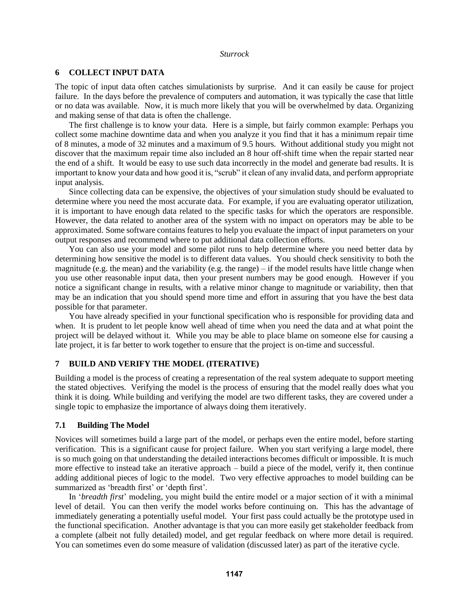## **6 COLLECT INPUT DATA**

The topic of input data often catches simulationists by surprise. And it can easily be cause for project failure. In the days before the prevalence of computers and automation, it was typically the case that little or no data was available. Now, it is much more likely that you will be overwhelmed by data. Organizing and making sense of that data is often the challenge.

The first challenge is to know your data. Here is a simple, but fairly common example: Perhaps you collect some machine downtime data and when you analyze it you find that it has a minimum repair time of 8 minutes, a mode of 32 minutes and a maximum of 9.5 hours. Without additional study you might not discover that the maximum repair time also included an 8 hour off-shift time when the repair started near the end of a shift. It would be easy to use such data incorrectly in the model and generate bad results. It is important to know your data and how good it is, "scrub" it clean of any invalid data, and perform appropriate input analysis.

Since collecting data can be expensive, the objectives of your simulation study should be evaluated to determine where you need the most accurate data. For example, if you are evaluating operator utilization, it is important to have enough data related to the specific tasks for which the operators are responsible. However, the data related to another area of the system with no impact on operators may be able to be approximated. Some software contains features to help you evaluate the impact of input parameters on your output responses and recommend where to put additional data collection efforts.

You can also use your model and some pilot runs to help determine where you need better data by determining how sensitive the model is to different data values. You should check sensitivity to both the magnitude (e.g. the mean) and the variability (e.g. the range) – if the model results have little change when you use other reasonable input data, then your present numbers may be good enough. However if you notice a significant change in results, with a relative minor change to magnitude or variability, then that may be an indication that you should spend more time and effort in assuring that you have the best data possible for that parameter.

You have already specified in your functional specification who is responsible for providing data and when. It is prudent to let people know well ahead of time when you need the data and at what point the project will be delayed without it. While you may be able to place blame on someone else for causing a late project, it is far better to work together to ensure that the project is on-time and successful.

## **7 BUILD AND VERIFY THE MODEL (ITERATIVE)**

Building a model is the process of creating a representation of the real system adequate to support meeting the stated objectives. Verifying the model is the process of ensuring that the model really does what you think it is doing. While building and verifying the model are two different tasks, they are covered under a single topic to emphasize the importance of always doing them iteratively.

## **7.1 Building The Model**

Novices will sometimes build a large part of the model, or perhaps even the entire model, before starting verification. This is a significant cause for project failure. When you start verifying a large model, there is so much going on that understanding the detailed interactions becomes difficult or impossible. It is much more effective to instead take an iterative approach – build a piece of the model, verify it, then continue adding additional pieces of logic to the model. Two very effective approaches to model building can be summarized as 'breadth first' or 'depth first'.

In '*breadth first*' modeling, you might build the entire model or a major section of it with a minimal level of detail. You can then verify the model works before continuing on. This has the advantage of immediately generating a potentially useful model. Your first pass could actually be the prototype used in the functional specification. Another advantage is that you can more easily get stakeholder feedback from a complete (albeit not fully detailed) model, and get regular feedback on where more detail is required. You can sometimes even do some measure of validation (discussed later) as part of the iterative cycle.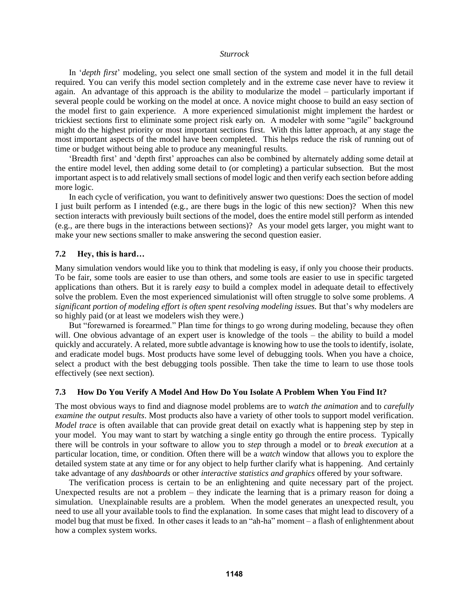In '*depth first*' modeling, you select one small section of the system and model it in the full detail required. You can verify this model section completely and in the extreme case never have to review it again. An advantage of this approach is the ability to modularize the model – particularly important if several people could be working on the model at once. A novice might choose to build an easy section of the model first to gain experience. A more experienced simulationist might implement the hardest or trickiest sections first to eliminate some project risk early on. A modeler with some "agile" background might do the highest priority or most important sections first. With this latter approach, at any stage the most important aspects of the model have been completed. This helps reduce the risk of running out of time or budget without being able to produce any meaningful results.

'Breadth first' and 'depth first' approaches can also be combined by alternately adding some detail at the entire model level, then adding some detail to (or completing) a particular subsection. But the most important aspect is to add relatively small sections of model logic and then verify each section before adding more logic.

In each cycle of verification, you want to definitively answer two questions: Does the section of model I just built perform as I intended (e.g., are there bugs in the logic of this new section)? When this new section interacts with previously built sections of the model, does the entire model still perform as intended (e.g., are there bugs in the interactions between sections)? As your model gets larger, you might want to make your new sections smaller to make answering the second question easier.

### **7.2 Hey, this is hard…**

Many simulation vendors would like you to think that modeling is easy, if only you choose their products. To be fair, some tools are easier to use than others, and some tools are easier to use in specific targeted applications than others. But it is rarely *easy* to build a complex model in adequate detail to effectively solve the problem. Even the most experienced simulationist will often struggle to solve some problems. *A significant portion of modeling effort is often spent resolving modeling issues.* But that's why modelers are so highly paid (or at least we modelers wish they were.)

But "forewarned is forearmed." Plan time for things to go wrong during modeling, because they often will. One obvious advantage of an expert user is knowledge of the tools – the ability to build a model quickly and accurately. A related, more subtle advantage is knowing how to use the tools to identify, isolate, and eradicate model bugs. Most products have some level of debugging tools. When you have a choice, select a product with the best debugging tools possible. Then take the time to learn to use those tools effectively (see next section).

### **7.3 How Do You Verify A Model And How Do You Isolate A Problem When You Find It?**

The most obvious ways to find and diagnose model problems are to *watch the animation* and to *carefully examine the output results*. Most products also have a variety of other tools to support model verification. *Model trace* is often available that can provide great detail on exactly what is happening step by step in your model. You may want to start by watching a single entity go through the entire process. Typically there will be controls in your software to allow you to *step* through a model or to *break execution* at a particular location, time, or condition. Often there will be a *watch* window that allows you to explore the detailed system state at any time or for any object to help further clarify what is happening. And certainly take advantage of any *dashboards* or other *interactive statistics and graphics* offered by your software.

The verification process is certain to be an enlightening and quite necessary part of the project. Unexpected results are not a problem – they indicate the learning that is a primary reason for doing a simulation. Unexplainable results are a problem. When the model generates an unexpected result, you need to use all your available tools to find the explanation. In some cases that might lead to discovery of a model bug that must be fixed. In other cases it leads to an "ah-ha" moment – a flash of enlightenment about how a complex system works.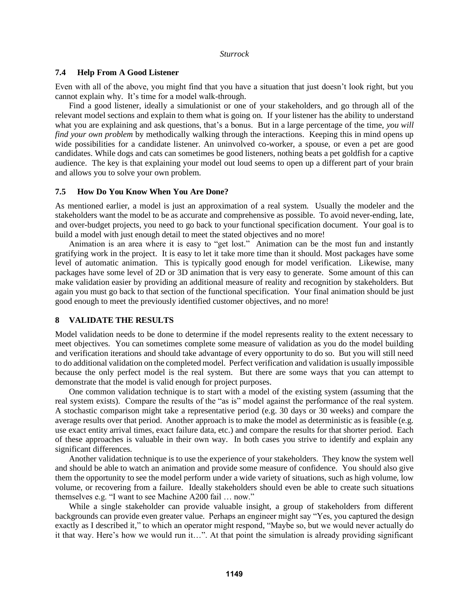### **7.4 Help From A Good Listener**

Even with all of the above, you might find that you have a situation that just doesn't look right, but you cannot explain why. It's time for a model walk-through.

Find a good listener, ideally a simulationist or one of your stakeholders, and go through all of the relevant model sections and explain to them what is going on. If your listener has the ability to understand what you are explaining and ask questions, that's a bonus. But in a large percentage of the time, *you will find your own problem* by methodically walking through the interactions. Keeping this in mind opens up wide possibilities for a candidate listener. An uninvolved co-worker, a spouse, or even a pet are good candidates. While dogs and cats can sometimes be good listeners, nothing beats a pet goldfish for a captive audience. The key is that explaining your model out loud seems to open up a different part of your brain and allows you to solve your own problem.

#### **7.5 How Do You Know When You Are Done?**

As mentioned earlier, a model is just an approximation of a real system. Usually the modeler and the stakeholders want the model to be as accurate and comprehensive as possible. To avoid never-ending, late, and over-budget projects, you need to go back to your functional specification document. Your goal is to build a model with just enough detail to meet the stated objectives and no more!

Animation is an area where it is easy to "get lost." Animation can be the most fun and instantly gratifying work in the project. It is easy to let it take more time than it should. Most packages have some level of automatic animation. This is typically good enough for model verification. Likewise, many packages have some level of 2D or 3D animation that is very easy to generate. Some amount of this can make validation easier by providing an additional measure of reality and recognition by stakeholders. But again you must go back to that section of the functional specification. Your final animation should be just good enough to meet the previously identified customer objectives, and no more!

## **8 VALIDATE THE RESULTS**

Model validation needs to be done to determine if the model represents reality to the extent necessary to meet objectives. You can sometimes complete some measure of validation as you do the model building and verification iterations and should take advantage of every opportunity to do so. But you will still need to do additional validation on the completed model. Perfect verification and validation is usually impossible because the only perfect model is the real system. But there are some ways that you can attempt to demonstrate that the model is valid enough for project purposes.

One common validation technique is to start with a model of the existing system (assuming that the real system exists). Compare the results of the "as is" model against the performance of the real system. A stochastic comparison might take a representative period (e.g. 30 days or 30 weeks) and compare the average results over that period. Another approach is to make the model as deterministic as is feasible (e.g. use exact entity arrival times, exact failure data, etc.) and compare the results for that shorter period. Each of these approaches is valuable in their own way. In both cases you strive to identify and explain any significant differences.

Another validation technique is to use the experience of your stakeholders. They know the system well and should be able to watch an animation and provide some measure of confidence. You should also give them the opportunity to see the model perform under a wide variety of situations, such as high volume, low volume, or recovering from a failure. Ideally stakeholders should even be able to create such situations themselves e.g. "I want to see Machine A200 fail … now."

While a single stakeholder can provide valuable insight, a group of stakeholders from different backgrounds can provide even greater value. Perhaps an engineer might say "Yes, you captured the design exactly as I described it," to which an operator might respond, "Maybe so, but we would never actually do it that way. Here's how we would run it…". At that point the simulation is already providing significant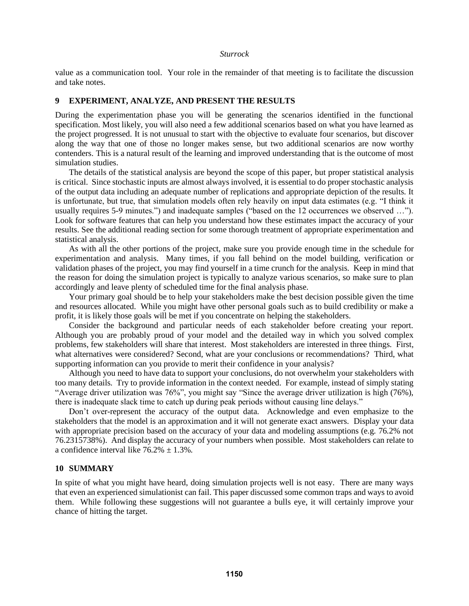value as a communication tool. Your role in the remainder of that meeting is to facilitate the discussion and take notes.

## **9 EXPERIMENT, ANALYZE, AND PRESENT THE RESULTS**

During the experimentation phase you will be generating the scenarios identified in the functional specification. Most likely, you will also need a few additional scenarios based on what you have learned as the project progressed. It is not unusual to start with the objective to evaluate four scenarios, but discover along the way that one of those no longer makes sense, but two additional scenarios are now worthy contenders. This is a natural result of the learning and improved understanding that is the outcome of most simulation studies.

The details of the statistical analysis are beyond the scope of this paper, but proper statistical analysis is critical. Since stochastic inputs are almost always involved, it is essential to do proper stochastic analysis of the output data including an adequate number of replications and appropriate depiction of the results. It is unfortunate, but true, that simulation models often rely heavily on input data estimates (e.g. "I think it usually requires 5-9 minutes.") and inadequate samples ("based on the 12 occurrences we observed …"). Look for software features that can help you understand how these estimates impact the accuracy of your results. See the additional reading section for some thorough treatment of appropriate experimentation and statistical analysis.

As with all the other portions of the project, make sure you provide enough time in the schedule for experimentation and analysis. Many times, if you fall behind on the model building, verification or validation phases of the project, you may find yourself in a time crunch for the analysis. Keep in mind that the reason for doing the simulation project is typically to analyze various scenarios, so make sure to plan accordingly and leave plenty of scheduled time for the final analysis phase.

Your primary goal should be to help your stakeholders make the best decision possible given the time and resources allocated. While you might have other personal goals such as to build credibility or make a profit, it is likely those goals will be met if you concentrate on helping the stakeholders.

Consider the background and particular needs of each stakeholder before creating your report. Although you are probably proud of your model and the detailed way in which you solved complex problems, few stakeholders will share that interest. Most stakeholders are interested in three things. First, what alternatives were considered? Second, what are your conclusions or recommendations? Third, what supporting information can you provide to merit their confidence in your analysis?

Although you need to have data to support your conclusions, do not overwhelm your stakeholders with too many details. Try to provide information in the context needed. For example, instead of simply stating "Average driver utilization was 76%", you might say "Since the average driver utilization is high (76%), there is inadequate slack time to catch up during peak periods without causing line delays."

Don't over-represent the accuracy of the output data. Acknowledge and even emphasize to the stakeholders that the model is an approximation and it will not generate exact answers. Display your data with appropriate precision based on the accuracy of your data and modeling assumptions (e.g. 76.2% not 76.2315738%). And display the accuracy of your numbers when possible. Most stakeholders can relate to a confidence interval like  $76.2\% \pm 1.3\%$ .

### **10 SUMMARY**

In spite of what you might have heard, doing simulation projects well is not easy. There are many ways that even an experienced simulationist can fail. This paper discussed some common traps and ways to avoid them. While following these suggestions will not guarantee a bulls eye, it will certainly improve your chance of hitting the target.